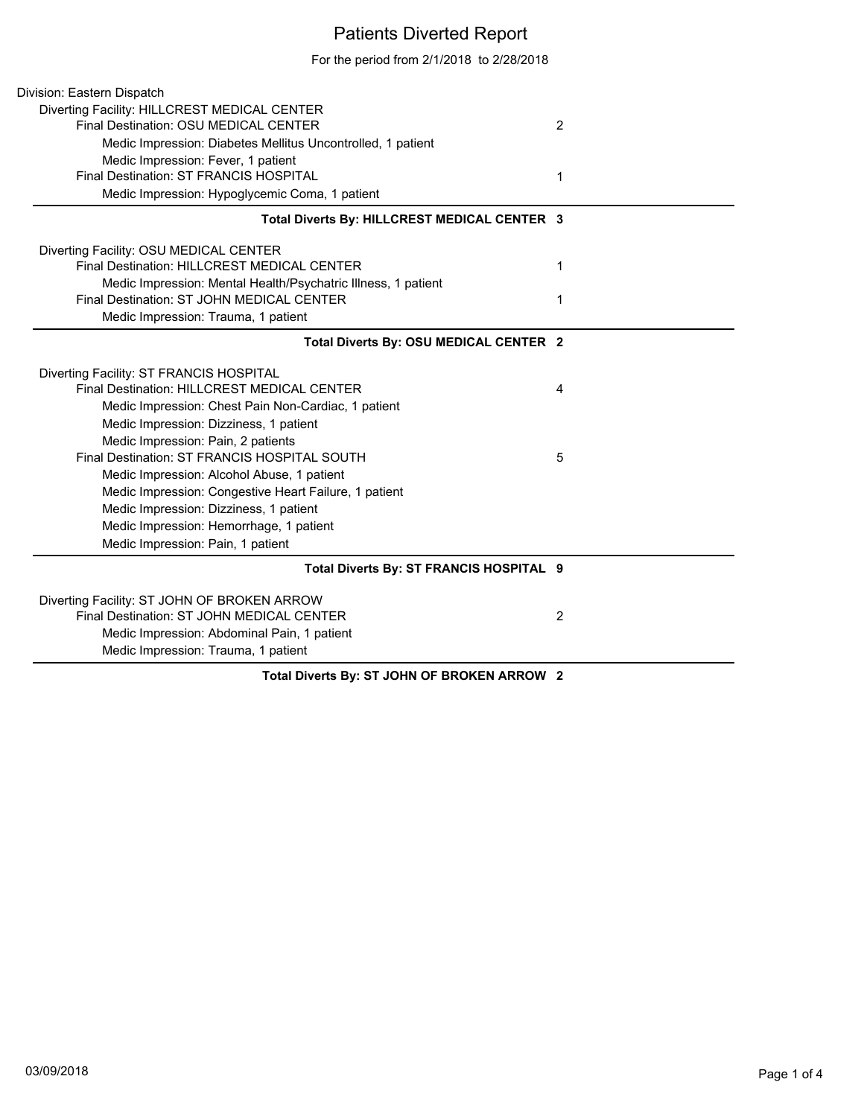## Patients Diverted Report

For the period from 2/1/2018 to 2/28/2018

| Division: Eastern Dispatch                                    |                |
|---------------------------------------------------------------|----------------|
| Diverting Facility: HILLCREST MEDICAL CENTER                  |                |
| Final Destination: OSU MEDICAL CENTER                         | $\overline{2}$ |
| Medic Impression: Diabetes Mellitus Uncontrolled, 1 patient   |                |
| Medic Impression: Fever, 1 patient                            |                |
| Final Destination: ST FRANCIS HOSPITAL                        | 1              |
| Medic Impression: Hypoglycemic Coma, 1 patient                |                |
| Total Diverts By: HILLCREST MEDICAL CENTER 3                  |                |
| Diverting Facility: OSU MEDICAL CENTER                        |                |
| Final Destination: HILLCREST MEDICAL CENTER                   | 1              |
| Medic Impression: Mental Health/Psychatric Illness, 1 patient |                |
| Final Destination: ST JOHN MEDICAL CENTER                     | 1              |
| Medic Impression: Trauma, 1 patient                           |                |
| Total Diverts By: OSU MEDICAL CENTER 2                        |                |
| Diverting Facility: ST FRANCIS HOSPITAL                       |                |
| Final Destination: HILLCREST MEDICAL CENTER                   | 4              |
| Medic Impression: Chest Pain Non-Cardiac, 1 patient           |                |
| Medic Impression: Dizziness, 1 patient                        |                |
| Medic Impression: Pain, 2 patients                            |                |
| Final Destination: ST FRANCIS HOSPITAL SOUTH                  | 5              |
| Medic Impression: Alcohol Abuse, 1 patient                    |                |
| Medic Impression: Congestive Heart Failure, 1 patient         |                |
| Medic Impression: Dizziness, 1 patient                        |                |
| Medic Impression: Hemorrhage, 1 patient                       |                |
| Medic Impression: Pain, 1 patient                             |                |
| Total Diverts By: ST FRANCIS HOSPITAL 9                       |                |
| Diverting Facility: ST JOHN OF BROKEN ARROW                   |                |
| Final Destination: ST JOHN MEDICAL CENTER                     | 2              |
| Medic Impression: Abdominal Pain, 1 patient                   |                |
| Medic Impression: Trauma, 1 patient                           |                |
| <b>AT IQUBLAF BRAIKEN ABBAW</b>                               |                |

**Total Diverts By: ST JOHN OF BROKEN ARROW 2**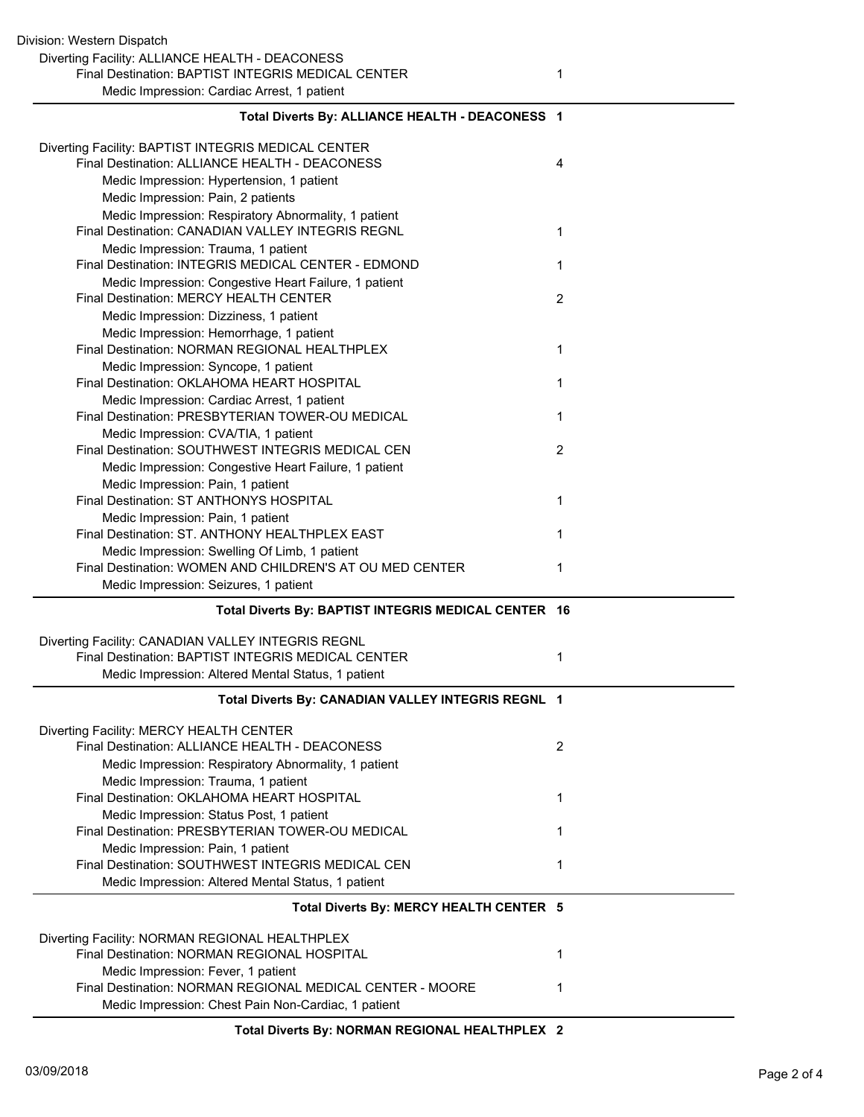| Diverting Facility: BAPTIST INTEGRIS MEDICAL CENTER                                             |   |
|-------------------------------------------------------------------------------------------------|---|
| Final Destination: ALLIANCE HEALTH - DEACONESS                                                  | 4 |
| Medic Impression: Hypertension, 1 patient                                                       |   |
| Medic Impression: Pain, 2 patients                                                              |   |
| Medic Impression: Respiratory Abnormality, 1 patient                                            |   |
| Final Destination: CANADIAN VALLEY INTEGRIS REGNL                                               | 1 |
| Medic Impression: Trauma, 1 patient                                                             |   |
| Final Destination: INTEGRIS MEDICAL CENTER - EDMOND                                             | 1 |
| Medic Impression: Congestive Heart Failure, 1 patient                                           |   |
| Final Destination: MERCY HEALTH CENTER                                                          | 2 |
| Medic Impression: Dizziness, 1 patient                                                          |   |
| Medic Impression: Hemorrhage, 1 patient                                                         |   |
| Final Destination: NORMAN REGIONAL HEALTHPLEX                                                   | 1 |
| Medic Impression: Syncope, 1 patient                                                            |   |
| Final Destination: OKLAHOMA HEART HOSPITAL                                                      | 1 |
| Medic Impression: Cardiac Arrest, 1 patient<br>Final Destination: PRESBYTERIAN TOWER-OU MEDICAL |   |
|                                                                                                 | 1 |
| Medic Impression: CVA/TIA, 1 patient<br>Final Destination: SOUTHWEST INTEGRIS MEDICAL CEN       | 2 |
|                                                                                                 |   |
| Medic Impression: Congestive Heart Failure, 1 patient<br>Medic Impression: Pain, 1 patient      |   |
| Final Destination: ST ANTHONYS HOSPITAL                                                         | 1 |
| Medic Impression: Pain, 1 patient                                                               |   |
| Final Destination: ST. ANTHONY HEALTHPLEX EAST                                                  | 1 |
| Medic Impression: Swelling Of Limb, 1 patient                                                   |   |
| Final Destination: WOMEN AND CHILDREN'S AT OU MED CENTER                                        | 1 |
| Medic Impression: Seizures, 1 patient                                                           |   |
| Total Diverts By: BAPTIST INTEGRIS MEDICAL CENTER 16                                            |   |
|                                                                                                 |   |
| Diverting Facility: CANADIAN VALLEY INTEGRIS REGNL                                              |   |
| Final Destination: BAPTIST INTEGRIS MEDICAL CENTER                                              | 1 |
| Medic Impression: Altered Mental Status, 1 patient                                              |   |
| Total Diverts By: CANADIAN VALLEY INTEGRIS REGNL 1                                              |   |
| Diverting Facility: MERCY HEALTH CENTER                                                         |   |
| Final Destination: ALLIANCE HEALTH - DEACONESS                                                  | 2 |
| Medic Impression: Respiratory Abnormality, 1 patient                                            |   |
| Medic Impression: Trauma, 1 patient                                                             |   |
| Final Destination: OKLAHOMA HEART HOSPITAL                                                      | 1 |
| Medic Impression: Status Post, 1 patient                                                        |   |
| Final Destination: PRESBYTERIAN TOWER-OU MEDICAL                                                | 1 |
| Medic Impression: Pain, 1 patient                                                               |   |
| Final Destination: SOUTHWEST INTEGRIS MEDICAL CEN                                               | 1 |
| Medic Impression: Altered Mental Status, 1 patient                                              |   |
| Total Diverts By: MERCY HEALTH CENTER 5                                                         |   |
|                                                                                                 |   |
| Diverting Facility: NORMAN REGIONAL HEALTHPLEX                                                  |   |
| Final Destination: NORMAN REGIONAL HOSPITAL                                                     | 1 |
| Medic Impression: Fever, 1 patient                                                              |   |
| Final Destination: NORMAN REGIONAL MEDICAL CENTER - MOORE                                       | 1 |
| Medic Impression: Chest Pain Non-Cardiac, 1 patient                                             |   |

**Total Diverts By: ALLIANCE HEALTH - DEACONESS 1**

**Total Diverts By: NORMAN REGIONAL HEALTHPLEX 2**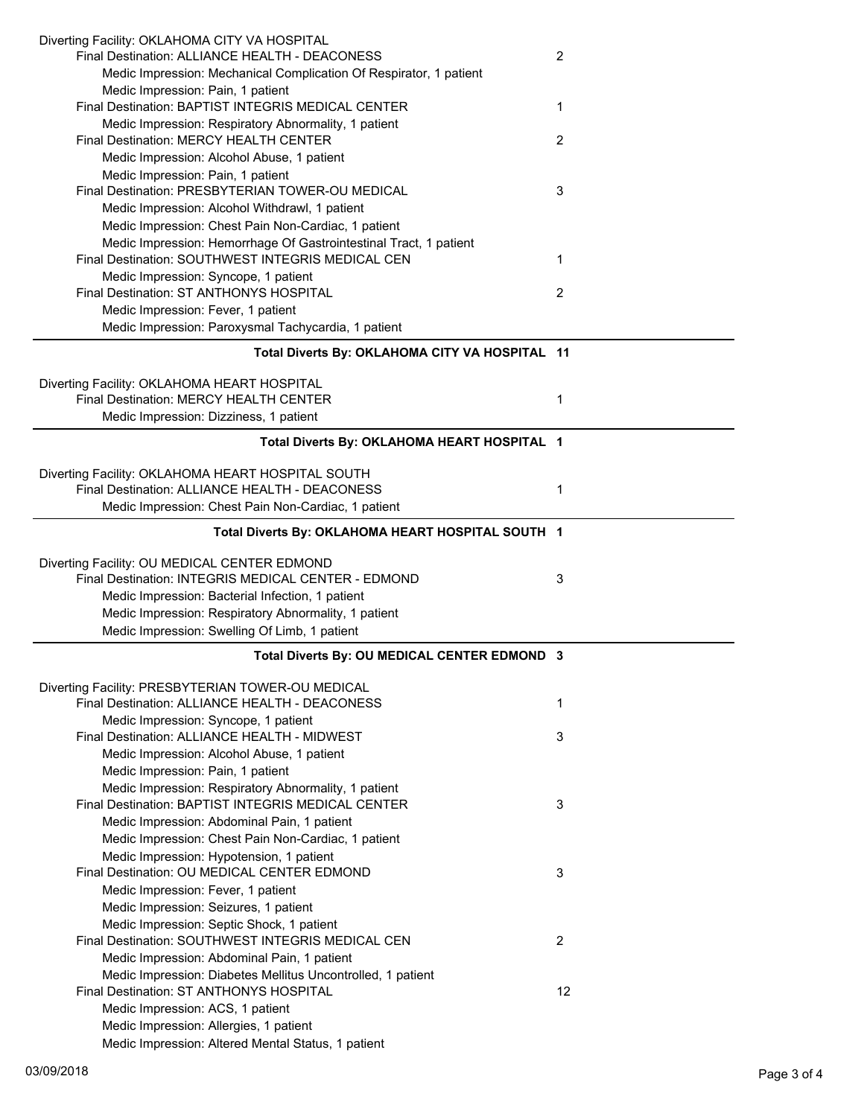| Diverting Facility: OKLAHOMA CITY VA HOSPITAL                                        |    |
|--------------------------------------------------------------------------------------|----|
| Final Destination: ALLIANCE HEALTH - DEACONESS                                       | 2  |
| Medic Impression: Mechanical Complication Of Respirator, 1 patient                   |    |
| Medic Impression: Pain, 1 patient                                                    |    |
| Final Destination: BAPTIST INTEGRIS MEDICAL CENTER                                   | 1  |
| Medic Impression: Respiratory Abnormality, 1 patient                                 |    |
| Final Destination: MERCY HEALTH CENTER                                               | 2  |
| Medic Impression: Alcohol Abuse, 1 patient                                           |    |
| Medic Impression: Pain, 1 patient                                                    |    |
| Final Destination: PRESBYTERIAN TOWER-OU MEDICAL                                     | 3  |
| Medic Impression: Alcohol Withdrawl, 1 patient                                       |    |
| Medic Impression: Chest Pain Non-Cardiac, 1 patient                                  |    |
| Medic Impression: Hemorrhage Of Gastrointestinal Tract, 1 patient                    |    |
| Final Destination: SOUTHWEST INTEGRIS MEDICAL CEN                                    | 1  |
|                                                                                      |    |
| Medic Impression: Syncope, 1 patient<br>Final Destination: ST ANTHONYS HOSPITAL      |    |
|                                                                                      | 2  |
| Medic Impression: Fever, 1 patient                                                   |    |
| Medic Impression: Paroxysmal Tachycardia, 1 patient                                  |    |
| Total Diverts By: OKLAHOMA CITY VA HOSPITAL 11                                       |    |
|                                                                                      |    |
| Diverting Facility: OKLAHOMA HEART HOSPITAL                                          |    |
| Final Destination: MERCY HEALTH CENTER                                               | 1  |
| Medic Impression: Dizziness, 1 patient                                               |    |
|                                                                                      |    |
| Total Diverts By: OKLAHOMA HEART HOSPITAL 1                                          |    |
| Diverting Facility: OKLAHOMA HEART HOSPITAL SOUTH                                    |    |
| Final Destination: ALLIANCE HEALTH - DEACONESS                                       | 1  |
|                                                                                      |    |
| Medic Impression: Chest Pain Non-Cardiac, 1 patient                                  |    |
| Total Diverts By: OKLAHOMA HEART HOSPITAL SOUTH 1                                    |    |
|                                                                                      |    |
|                                                                                      |    |
| Diverting Facility: OU MEDICAL CENTER EDMOND                                         |    |
| Final Destination: INTEGRIS MEDICAL CENTER - EDMOND                                  | 3  |
| Medic Impression: Bacterial Infection, 1 patient                                     |    |
| Medic Impression: Respiratory Abnormality, 1 patient                                 |    |
| Medic Impression: Swelling Of Limb, 1 patient                                        |    |
|                                                                                      |    |
| Total Diverts By: OU MEDICAL CENTER EDMOND 3                                         |    |
| Diverting Facility: PRESBYTERIAN TOWER-OU MEDICAL                                    |    |
| Final Destination: ALLIANCE HEALTH - DEACONESS                                       | 1  |
|                                                                                      |    |
| Medic Impression: Syncope, 1 patient<br>Final Destination: ALLIANCE HEALTH - MIDWEST | 3  |
|                                                                                      |    |
| Medic Impression: Alcohol Abuse, 1 patient                                           |    |
| Medic Impression: Pain, 1 patient                                                    |    |
| Medic Impression: Respiratory Abnormality, 1 patient                                 |    |
| Final Destination: BAPTIST INTEGRIS MEDICAL CENTER                                   | 3  |
| Medic Impression: Abdominal Pain, 1 patient                                          |    |
| Medic Impression: Chest Pain Non-Cardiac, 1 patient                                  |    |
| Medic Impression: Hypotension, 1 patient                                             |    |
| Final Destination: OU MEDICAL CENTER EDMOND                                          | 3  |
| Medic Impression: Fever, 1 patient                                                   |    |
| Medic Impression: Seizures, 1 patient                                                |    |
| Medic Impression: Septic Shock, 1 patient                                            |    |
| Final Destination: SOUTHWEST INTEGRIS MEDICAL CEN                                    | 2  |
| Medic Impression: Abdominal Pain, 1 patient                                          |    |
| Medic Impression: Diabetes Mellitus Uncontrolled, 1 patient                          |    |
| Final Destination: ST ANTHONYS HOSPITAL                                              | 12 |
| Medic Impression: ACS, 1 patient                                                     |    |
| Medic Impression: Allergies, 1 patient                                               |    |